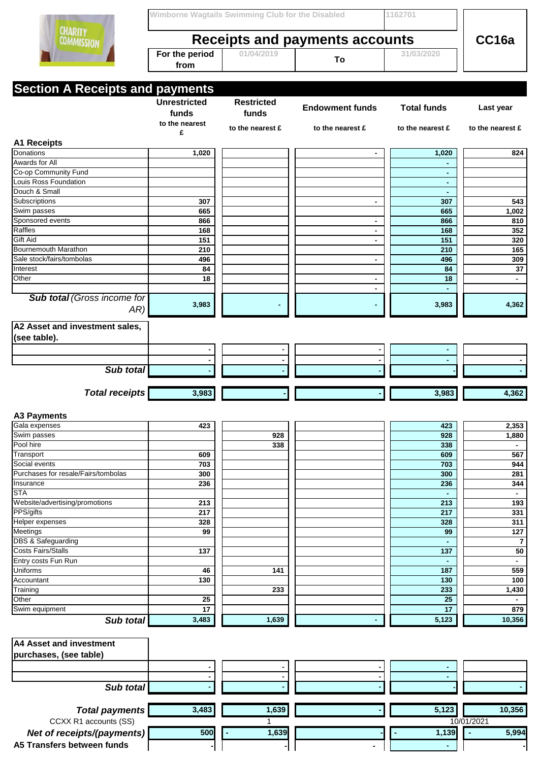|                                                          | Wimborne Wagtails Swimming Club for the Disabled |                   |                        | 1162701            |                         |  |
|----------------------------------------------------------|--------------------------------------------------|-------------------|------------------------|--------------------|-------------------------|--|
| <b>CHARITY</b><br><b>COMMISSION</b>                      | Receipts and payments accounts                   |                   |                        |                    | CC16a                   |  |
|                                                          | For the period<br>from                           | 01/04/2019        | To                     | 31/03/2020         |                         |  |
|                                                          |                                                  |                   |                        |                    |                         |  |
| <b>Section A Receipts and payments</b>                   | <b>Unrestricted</b>                              | <b>Restricted</b> |                        |                    |                         |  |
|                                                          | funds<br>to the nearest                          | funds             | <b>Endowment funds</b> | <b>Total funds</b> | Last year               |  |
|                                                          | £                                                | to the nearest £  | to the nearest £       | to the nearest £   | to the nearest £        |  |
| <b>A1 Receipts</b><br>Donations                          | 1,020                                            |                   |                        | 1,020              | 824                     |  |
| Awards for All                                           |                                                  |                   |                        |                    |                         |  |
| Co-op Community Fund                                     |                                                  |                   |                        | $\blacksquare$     |                         |  |
| Louis Ross Foundation                                    |                                                  |                   |                        | $\blacksquare$     |                         |  |
| Douch & Small                                            |                                                  |                   |                        | $\blacksquare$     |                         |  |
| Subscriptions                                            | 307                                              |                   | $\blacksquare$         | 307                | 543                     |  |
| Swim passes                                              | 665                                              |                   |                        | 665                | 1,002                   |  |
| Sponsored events                                         | 866                                              |                   | $\blacksquare$         | 866                | 810                     |  |
| Raffles                                                  | 168                                              |                   | $\blacksquare$         | 168                | 352                     |  |
| Gift Aid                                                 | 151                                              |                   | $\blacksquare$         | 151                | 320                     |  |
| Bournemouth Marathon                                     | 210                                              |                   |                        | 210                | 165                     |  |
| Sale stock/fairs/tombolas                                | 496                                              |                   | $\blacksquare$         | 496                | 309                     |  |
| Interest                                                 | 84                                               |                   |                        | 84                 | 37                      |  |
| Other                                                    | 18                                               |                   | $\blacksquare$         | 18                 | $\blacksquare$          |  |
| <b>Sub total (Gross income for</b>                       |                                                  |                   | $\blacksquare$         | $\blacksquare$     |                         |  |
| AR)                                                      | 3,983                                            |                   |                        | 3,983              | 4,362                   |  |
| A2 Asset and investment sales,                           |                                                  |                   |                        |                    |                         |  |
| (see table).                                             |                                                  |                   |                        |                    |                         |  |
|                                                          |                                                  |                   |                        |                    |                         |  |
| Sub total                                                |                                                  |                   |                        |                    |                         |  |
|                                                          |                                                  |                   |                        |                    |                         |  |
| <b>Total receipts</b>                                    | 3,983                                            |                   |                        | 3,983              | 4,362                   |  |
| <b>A3 Payments</b>                                       |                                                  |                   |                        |                    |                         |  |
| Gala expenses                                            |                                                  |                   |                        |                    |                         |  |
|                                                          | 423                                              |                   |                        | 423                | 2,353                   |  |
| Swim passes                                              |                                                  | 928               |                        | 928                | 1,880                   |  |
| Pool hire                                                |                                                  | 338               |                        | 338                | $\blacksquare$          |  |
| Transport                                                | 609                                              |                   |                        | 609                | 567                     |  |
| Social events                                            | 703                                              |                   |                        | 703                | 944                     |  |
| Purchases for resale/Fairs/tombolas                      | 300                                              |                   |                        | 300                | 281                     |  |
| Insurance                                                | 236                                              |                   |                        | 236                | 344                     |  |
| <b>STA</b>                                               |                                                  |                   |                        | $\blacksquare$     | $\blacksquare$          |  |
| Website/advertising/promotions                           | 213                                              |                   |                        | 213                | 193                     |  |
| PPS/gifts                                                | 217                                              |                   |                        | 217                | 331                     |  |
| Helper expenses                                          | 328                                              |                   |                        | 328                | 311                     |  |
| Meetings                                                 | 99                                               |                   |                        | 99                 | 127                     |  |
| <b>DBS &amp; Safeguarding</b>                            |                                                  |                   |                        | $\blacksquare$     | 7                       |  |
| <b>Costs Fairs/Stalls</b>                                | 137                                              |                   |                        | 137                | 50                      |  |
| Entry costs Fun Run                                      |                                                  |                   |                        | $\blacksquare$     | $\blacksquare$          |  |
| <b>Uniforms</b>                                          | 46                                               | 141               |                        | 187                | 559                     |  |
| Accountant                                               | 130                                              |                   |                        | 130                | 100                     |  |
| Training                                                 |                                                  | 233               |                        | 233                | 1,430<br>$\blacksquare$ |  |
| Other                                                    | $\overline{25}$                                  |                   |                        | 25                 |                         |  |
| Swim equipment<br>Sub total                              | 17<br>3,483                                      | 1,639             |                        | 17<br>5,123        | 879<br>10,356           |  |
| <b>A4 Asset and investment</b>                           |                                                  |                   |                        |                    |                         |  |
|                                                          |                                                  |                   |                        |                    |                         |  |
| purchases, (see table)                                   |                                                  |                   |                        | $\blacksquare$     |                         |  |
|                                                          | $\blacksquare$                                   |                   |                        |                    |                         |  |
|                                                          |                                                  |                   |                        |                    |                         |  |
| Sub total                                                |                                                  |                   |                        |                    |                         |  |
|                                                          |                                                  |                   |                        |                    |                         |  |
| <b>Total payments</b>                                    | 3,483                                            | 1,639             |                        | 5,123              | 10,356                  |  |
| CCXX R1 accounts (SS)                                    |                                                  | 1                 |                        |                    | 10/01/2021              |  |
| Net of receipts/(payments)<br>A5 Transfers between funds | 500                                              | 1,639             |                        | 1,139              | 5,994                   |  |